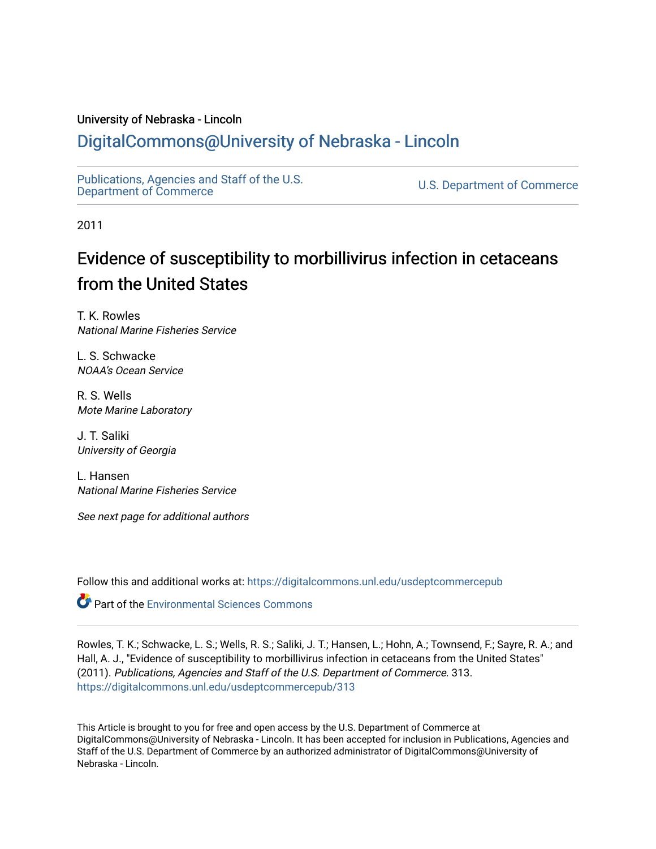### University of Nebraska - Lincoln

## [DigitalCommons@University of Nebraska - Lincoln](https://digitalcommons.unl.edu/)

[Publications, Agencies and Staff of the U.S.](https://digitalcommons.unl.edu/usdeptcommercepub)

U.S. [Department of Commerce](https://digitalcommons.unl.edu/usdeptcommercepub)

2011

# Evidence of susceptibility to morbillivirus infection in cetaceans from the United States

T. K. Rowles National Marine Fisheries Service

L. S. Schwacke NOAA's Ocean Service

R. S. Wells Mote Marine Laboratory

J. T. Saliki University of Georgia

L. Hansen National Marine Fisheries Service

See next page for additional authors

Follow this and additional works at: [https://digitalcommons.unl.edu/usdeptcommercepub](https://digitalcommons.unl.edu/usdeptcommercepub?utm_source=digitalcommons.unl.edu%2Fusdeptcommercepub%2F313&utm_medium=PDF&utm_campaign=PDFCoverPages)

**Part of the [Environmental Sciences Commons](http://network.bepress.com/hgg/discipline/167?utm_source=digitalcommons.unl.edu%2Fusdeptcommercepub%2F313&utm_medium=PDF&utm_campaign=PDFCoverPages)** 

Rowles, T. K.; Schwacke, L. S.; Wells, R. S.; Saliki, J. T.; Hansen, L.; Hohn, A.; Townsend, F.; Sayre, R. A.; and Hall, A. J., "Evidence of susceptibility to morbillivirus infection in cetaceans from the United States" (2011). Publications, Agencies and Staff of the U.S. Department of Commerce. 313. [https://digitalcommons.unl.edu/usdeptcommercepub/313](https://digitalcommons.unl.edu/usdeptcommercepub/313?utm_source=digitalcommons.unl.edu%2Fusdeptcommercepub%2F313&utm_medium=PDF&utm_campaign=PDFCoverPages) 

This Article is brought to you for free and open access by the U.S. Department of Commerce at DigitalCommons@University of Nebraska - Lincoln. It has been accepted for inclusion in Publications, Agencies and Staff of the U.S. Department of Commerce by an authorized administrator of DigitalCommons@University of Nebraska - Lincoln.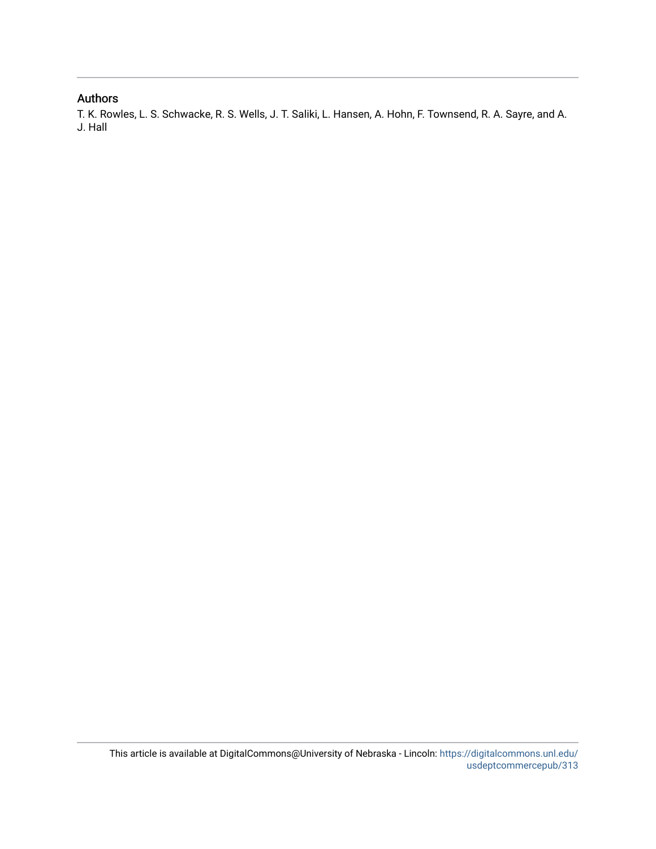## Authors

T. K. Rowles, L. S. Schwacke, R. S. Wells, J. T. Saliki, L. Hansen, A. Hohn, F. Townsend, R. A. Sayre, and A. J. Hall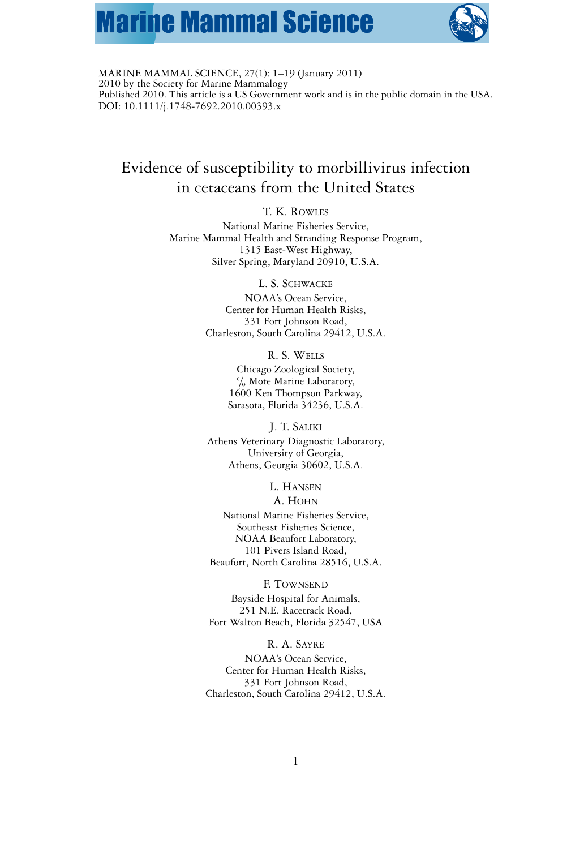# **Marine Mammal Science**



MARINE MAMMAL SCIENCE, 27(1): 1–19 (January 2011) 2010 by the Society for Marine Mammalogy Published 2010. This article is a US Government work and is in the public domain in the USA. DOI: 10.1111/j.1748-7692.2010.00393.x

## Evidence of susceptibility to morbillivirus infection in cetaceans from the United States

T. K. ROWLES

National Marine Fisheries Service, Marine Mammal Health and Stranding Response Program, 1315 East-West Highway, Silver Spring, Maryland 20910, U.S.A.

L. S. SCHWACKE

NOAA's Ocean Service, Center for Human Health Risks, 331 Fort Johnson Road, Charleston, South Carolina 29412, U.S.A.

R. S. WELLS

Chicago Zoological Society, c /<sup>o</sup> Mote Marine Laboratory, 1600 Ken Thompson Parkway, Sarasota, Florida 34236, U.S.A.

J. T. SALIKI Athens Veterinary Diagnostic Laboratory, University of Georgia, Athens, Georgia 30602, U.S.A.

L. HANSEN

A. HOHN National Marine Fisheries Service, Southeast Fisheries Science, NOAA Beaufort Laboratory, 101 Pivers Island Road,

Beaufort, North Carolina 28516, U.S.A.

F. TOWNSEND

Bayside Hospital for Animals, 251 N.E. Racetrack Road, Fort Walton Beach, Florida 32547, USA

R. A. SAYRE NOAA's Ocean Service, Center for Human Health Risks, 331 Fort Johnson Road, Charleston, South Carolina 29412, U.S.A.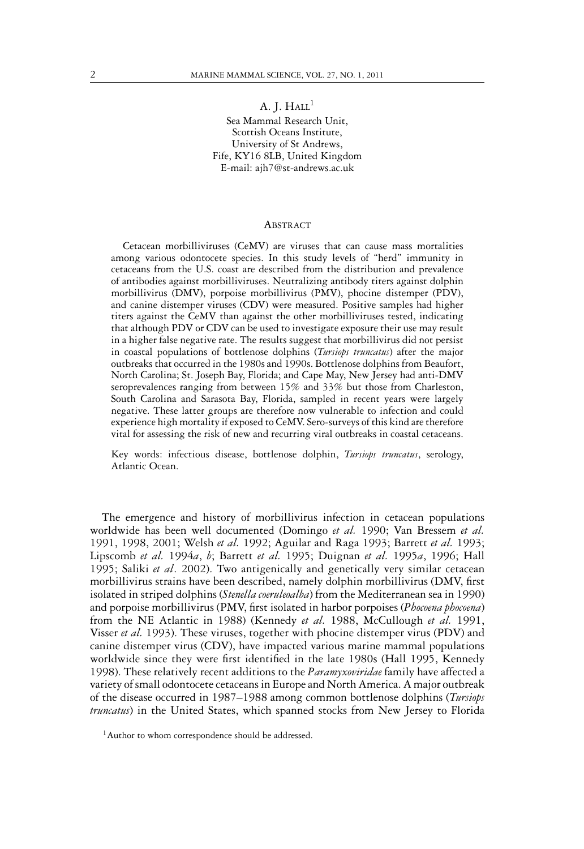A. J.  $HALL<sup>1</sup>$ 

Sea Mammal Research Unit, Scottish Oceans Institute, University of St Andrews, Fife, KY16 8LB, United Kingdom E-mail: ajh7@st-andrews.ac.uk

#### ABSTRACT

Cetacean morbilliviruses (CeMV) are viruses that can cause mass mortalities among various odontocete species. In this study levels of "herd" immunity in cetaceans from the U.S. coast are described from the distribution and prevalence of antibodies against morbilliviruses. Neutralizing antibody titers against dolphin morbillivirus (DMV), porpoise morbillivirus (PMV), phocine distemper (PDV), and canine distemper viruses (CDV) were measured. Positive samples had higher titers against the CeMV than against the other morbilliviruses tested, indicating that although PDV or CDV can be used to investigate exposure their use may result in a higher false negative rate. The results suggest that morbillivirus did not persist in coastal populations of bottlenose dolphins (*Tursiops truncatus*) after the major outbreaks that occurred in the 1980s and 1990s. Bottlenose dolphins from Beaufort, North Carolina; St. Joseph Bay, Florida; and Cape May, New Jersey had anti-DMV seroprevalences ranging from between 15% and 33% but those from Charleston, South Carolina and Sarasota Bay, Florida, sampled in recent years were largely negative. These latter groups are therefore now vulnerable to infection and could experience high mortality if exposed to CeMV. Sero-surveys of this kind are therefore vital for assessing the risk of new and recurring viral outbreaks in coastal cetaceans.

Key words: infectious disease, bottlenose dolphin, *Tursiops truncatus*, serology, Atlantic Ocean.

The emergence and history of morbillivirus infection in cetacean populations worldwide has been well documented (Domingo *et al.* 1990; Van Bressem *et al.* 1991, 1998, 2001; Welsh *et al.* 1992; Aguilar and Raga 1993; Barrett *et al.* 1993; Lipscomb *et al.* 1994*a*, *b*; Barrett *et al.* 1995; Duignan *et al.* 1995*a*, 1996; Hall 1995; Saliki *et al*. 2002). Two antigenically and genetically very similar cetacean morbillivirus strains have been described, namely dolphin morbillivirus (DMV, first isolated in striped dolphins (*Stenella coeruleoalba*) from the Mediterranean sea in 1990) and porpoise morbillivirus (PMV, first isolated in harbor porpoises (*Phocoena phocoena*) from the NE Atlantic in 1988) (Kennedy *et al.* 1988, McCullough *et al.* 1991, Visser *et al.* 1993). These viruses, together with phocine distemper virus (PDV) and canine distemper virus (CDV), have impacted various marine mammal populations worldwide since they were first identified in the late 1980s (Hall 1995, Kennedy 1998). These relatively recent additions to the *Paramyxoviridae* family have affected a variety of small odontocete cetaceans in Europe and North America. A major outbreak of the disease occurred in 1987–1988 among common bottlenose dolphins (*Tursiops truncatus*) in the United States, which spanned stocks from New Jersey to Florida

<sup>&</sup>lt;sup>1</sup>Author to whom correspondence should be addressed.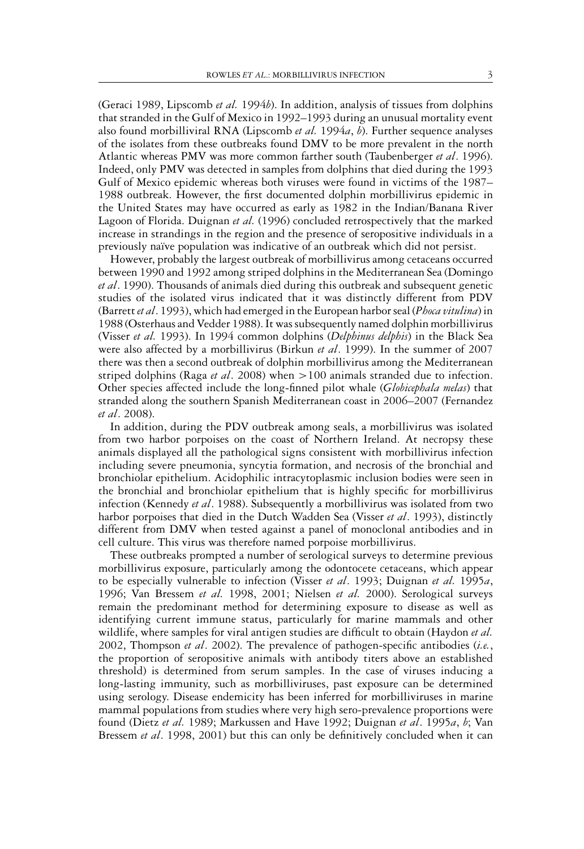(Geraci 1989, Lipscomb *et al.* 1994*b*). In addition, analysis of tissues from dolphins that stranded in the Gulf of Mexico in 1992–1993 during an unusual mortality event also found morbilliviral RNA (Lipscomb *et al.* 1994*a*, *b*). Further sequence analyses of the isolates from these outbreaks found DMV to be more prevalent in the north Atlantic whereas PMV was more common farther south (Taubenberger *et al*. 1996). Indeed, only PMV was detected in samples from dolphins that died during the 1993 Gulf of Mexico epidemic whereas both viruses were found in victims of the 1987– 1988 outbreak. However, the first documented dolphin morbillivirus epidemic in the United States may have occurred as early as 1982 in the Indian/Banana River Lagoon of Florida. Duignan *et al.* (1996) concluded retrospectively that the marked increase in strandings in the region and the presence of seropositive individuals in a previously naïve population was indicative of an outbreak which did not persist.

However, probably the largest outbreak of morbillivirus among cetaceans occurred between 1990 and 1992 among striped dolphins in the Mediterranean Sea (Domingo *et al*. 1990). Thousands of animals died during this outbreak and subsequent genetic studies of the isolated virus indicated that it was distinctly different from PDV (Barrett*et al*. 1993), which had emerged in the European harbor seal (*Phoca vitulina*) in 1988 (Osterhaus and Vedder 1988). It was subsequently named dolphin morbillivirus (Visser *et al.* 1993). In 1994 common dolphins (*Delphinus delphis*) in the Black Sea were also affected by a morbillivirus (Birkun *et al*. 1999). In the summer of 2007 there was then a second outbreak of dolphin morbillivirus among the Mediterranean striped dolphins (Raga *et al*. 2008) when >100 animals stranded due to infection. Other species affected include the long-finned pilot whale (*Globicephala melas*) that stranded along the southern Spanish Mediterranean coast in 2006–2007 (Fernandez *et al*. 2008).

In addition, during the PDV outbreak among seals, a morbillivirus was isolated from two harbor porpoises on the coast of Northern Ireland. At necropsy these animals displayed all the pathological signs consistent with morbillivirus infection including severe pneumonia, syncytia formation, and necrosis of the bronchial and bronchiolar epithelium. Acidophilic intracytoplasmic inclusion bodies were seen in the bronchial and bronchiolar epithelium that is highly specific for morbillivirus infection (Kennedy *et al*. 1988). Subsequently a morbillivirus was isolated from two harbor porpoises that died in the Dutch Wadden Sea (Visser *et al*. 1993), distinctly different from DMV when tested against a panel of monoclonal antibodies and in cell culture. This virus was therefore named porpoise morbillivirus.

These outbreaks prompted a number of serological surveys to determine previous morbillivirus exposure, particularly among the odontocete cetaceans, which appear to be especially vulnerable to infection (Visser *et al*. 1993; Duignan *et al.* 1995*a*, 1996; Van Bressem *et al.* 1998, 2001; Nielsen *et al.* 2000). Serological surveys remain the predominant method for determining exposure to disease as well as identifying current immune status, particularly for marine mammals and other wildlife, where samples for viral antigen studies are difficult to obtain (Haydon *et al.* 2002, Thompson *et al*. 2002). The prevalence of pathogen-specific antibodies (*i.e.*, the proportion of seropositive animals with antibody titers above an established threshold) is determined from serum samples. In the case of viruses inducing a long-lasting immunity, such as morbilliviruses, past exposure can be determined using serology. Disease endemicity has been inferred for morbilliviruses in marine mammal populations from studies where very high sero-prevalence proportions were found (Dietz *et al.* 1989; Markussen and Have 1992; Duignan *et al*. 1995*a*, *b*; Van Bressem *et al*. 1998, 2001) but this can only be definitively concluded when it can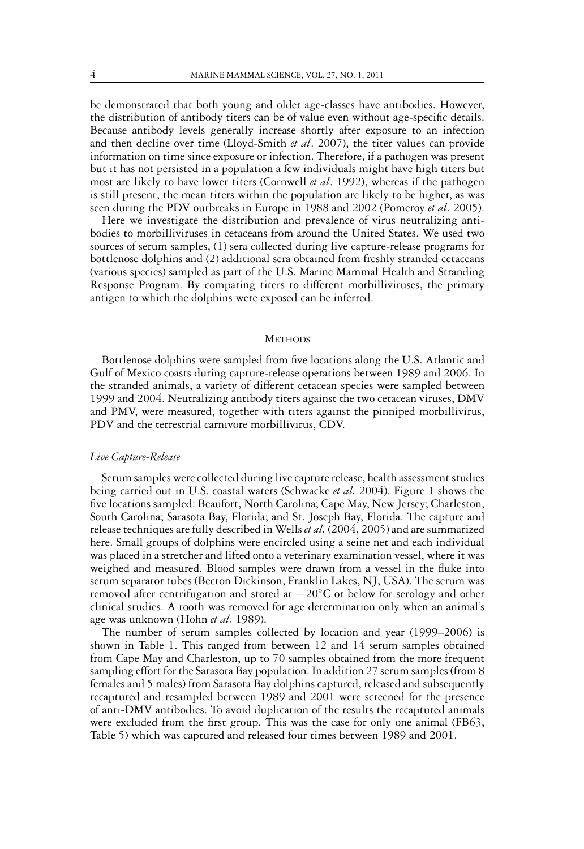be demonstrated that both young and older age-classes have antibodies. However, the distribution of antibody titers can be of value even without age-specific details. Because antibody levels generally increase shortly after exposure to an infection and then decline over time (Lloyd-Smith *et al*. 2007), the titer values can provide information on time since exposure or infection. Therefore, if a pathogen was present but it has not persisted in a population a few individuals might have high titers but most are likely to have lower titers (Cornwell *et al*. 1992), whereas if the pathogen is still present, the mean titers within the population are likely to be higher, as was seen during the PDV outbreaks in Europe in 1988 and 2002 (Pomeroy *et al*. 2005).

Here we investigate the distribution and prevalence of virus neutralizing antibodies to morbilliviruses in cetaceans from around the United States. We used two sources of serum samples, (1) sera collected during live capture-release programs for bottlenose dolphins and (2) additional sera obtained from freshly stranded cetaceans (various species) sampled as part of the U.S. Marine Mammal Health and Stranding Response Program. By comparing titers to different morbilliviruses, the primary antigen to which the dolphins were exposed can be inferred.

#### **METHODS**

Bottlenose dolphins were sampled from five locations along the U.S. Atlantic and Gulf of Mexico coasts during capture-release operations between 1989 and 2006. In the stranded animals, a variety of different cetacean species were sampled between 1999 and 2004. Neutralizing antibody titers against the two cetacean viruses, DMV and PMV, were measured, together with titers against the pinniped morbillivirus, PDV and the terrestrial carnivore morbillivirus, CDV.

#### *Live Capture-Release*

Serum samples were collected during live capture release, health assessment studies being carried out in U.S. coastal waters (Schwacke *et al.* 2004). Figure 1 shows the five locations sampled: Beaufort, North Carolina; Cape May, New Jersey; Charleston, South Carolina; Sarasota Bay, Florida; and St. Joseph Bay, Florida. The capture and release techniques are fully described in Wells *et al.* (2004, 2005) and are summarized here. Small groups of dolphins were encircled using a seine net and each individual was placed in a stretcher and lifted onto a veterinary examination vessel, where it was weighed and measured. Blood samples were drawn from a vessel in the fluke into serum separator tubes (Becton Dickinson, Franklin Lakes, NJ, USA). The serum was removed after centrifugation and stored at −20◦C or below for serology and other clinical studies. A tooth was removed for age determination only when an animal's age was unknown (Hohn *et al.* 1989).

The number of serum samples collected by location and year (1999–2006) is shown in Table 1. This ranged from between 12 and 14 serum samples obtained from Cape May and Charleston, up to 70 samples obtained from the more frequent sampling effort for the Sarasota Bay population. In addition 27 serum samples (from 8 females and 5 males) from Sarasota Bay dolphins captured, released and subsequently recaptured and resampled between 1989 and 2001 were screened for the presence of anti-DMV antibodies. To avoid duplication of the results the recaptured animals were excluded from the first group. This was the case for only one animal (FB63, Table 5) which was captured and released four times between 1989 and 2001.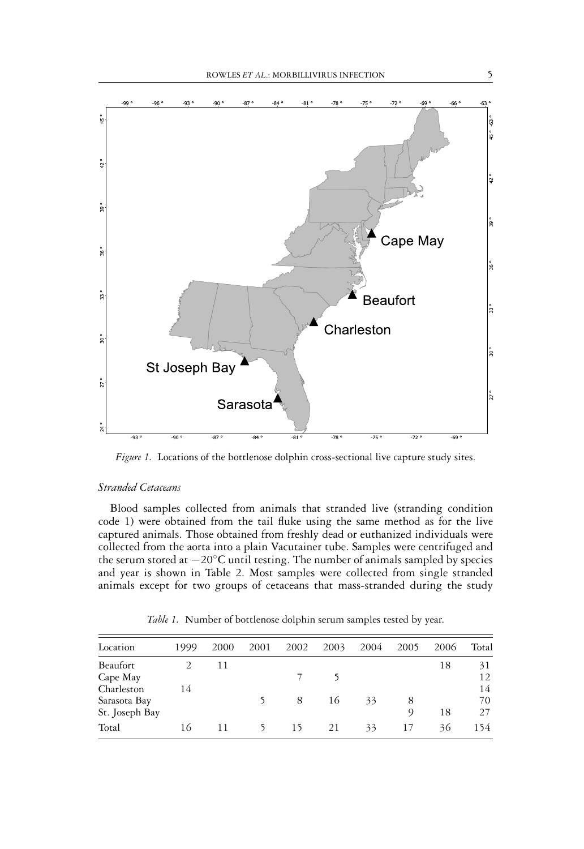

*Figure 1.* Locations of the bottlenose dolphin cross-sectional live capture study sites.

#### *Stranded Cetaceans*

Blood samples collected from animals that stranded live (stranding condition code 1) were obtained from the tail fluke using the same method as for the live captured animals. Those obtained from freshly dead or euthanized individuals were collected from the aorta into a plain Vacutainer tube. Samples were centrifuged and the serum stored at −20◦C until testing. The number of animals sampled by species and year is shown in Table 2. Most samples were collected from single stranded animals except for two groups of cetaceans that mass-stranded during the study

| Location       | 1999 | 2000 | 2001 | 2002 | 2003 | 2004 | 2005 | 2006 | Total |
|----------------|------|------|------|------|------|------|------|------|-------|
| Beaufort       |      | 11   |      |      |      |      |      | 18   | 31    |
| Cape May       |      |      |      |      |      |      |      |      | 12    |
| Charleston     | 14   |      |      |      |      |      |      |      | 14    |
| Sarasota Bay   |      |      |      | 8    | 16   | 33   | 8    |      | 70    |
| St. Joseph Bay |      |      |      |      |      |      | Q    | 18   | 27    |
| Total          | 16   | 11   | 5    | 15   | 21   | 33   | 17   | 36   | 154   |

*Table 1.* Number of bottlenose dolphin serum samples tested by year.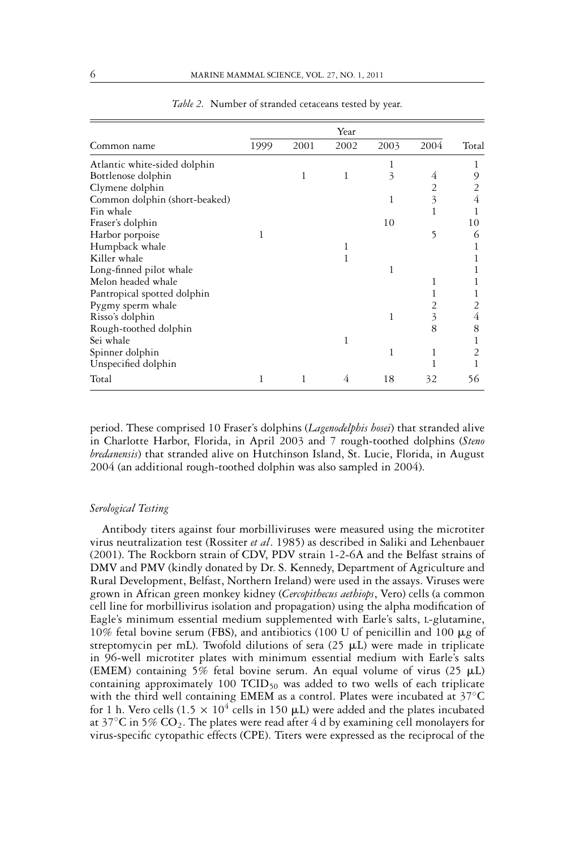|                               |      |      | Year |      |      |       |
|-------------------------------|------|------|------|------|------|-------|
| Common name                   | 1999 | 2001 | 2002 | 2003 | 2004 | Total |
| Atlantic white-sided dolphin  |      |      |      | 1    |      |       |
| Bottlenose dolphin            |      | 1    | 1    | 3    | 4    | 9     |
| Clymene dolphin               |      |      |      |      | 2    | 2     |
| Common dolphin (short-beaked) |      |      |      | 1    | 3    | 4     |
| Fin whale                     |      |      |      |      | 1    |       |
| Fraser's dolphin              |      |      |      | 10   |      | 10    |
| Harbor porpoise               | 1    |      |      |      | 5    | 6     |
| Humpback whale                |      |      |      |      |      |       |
| Killer whale                  |      |      | 1    |      |      |       |
| Long-finned pilot whale       |      |      |      | 1    |      |       |
| Melon headed whale            |      |      |      |      | 1    |       |
| Pantropical spotted dolphin   |      |      |      |      |      |       |
| Pygmy sperm whale             |      |      |      |      | 2    |       |
| Risso's dolphin               |      |      |      | 1    | 3    | 4     |
| Rough-toothed dolphin         |      |      |      |      | 8    | 8     |
| Sei whale                     |      |      | 1    |      |      |       |
| Spinner dolphin               |      |      |      | 1    | 1    | 2     |
| Unspecified dolphin           |      |      |      |      |      |       |
| Total                         | 1    | 1    | 4    | 18   | 32   | 56    |

*Table 2.* Number of stranded cetaceans tested by year.

period. These comprised 10 Fraser's dolphins (*Lagenodelphis hosei*) that stranded alive in Charlotte Harbor, Florida, in April 2003 and 7 rough-toothed dolphins (*Steno bredanensis*) that stranded alive on Hutchinson Island, St. Lucie, Florida, in August 2004 (an additional rough-toothed dolphin was also sampled in 2004).

#### *Serological Testing*

Antibody titers against four morbilliviruses were measured using the microtiter virus neutralization test (Rossiter *et al*. 1985) as described in Saliki and Lehenbauer (2001). The Rockborn strain of CDV, PDV strain 1-2-6A and the Belfast strains of DMV and PMV (kindly donated by Dr. S. Kennedy, Department of Agriculture and Rural Development, Belfast, Northern Ireland) were used in the assays. Viruses were grown in African green monkey kidney (*Cercopithecus aethiops*, Vero) cells (a common cell line for morbillivirus isolation and propagation) using the alpha modification of Eagle's minimum essential medium supplemented with Earle's salts, L-glutamine, 10% fetal bovine serum (FBS), and antibiotics (100 U of penicillin and 100  $\mu$ g of streptomycin per mL). Twofold dilutions of sera (25  $\mu$ L) were made in triplicate in 96-well microtiter plates with minimum essential medium with Earle's salts (EMEM) containing 5% fetal bovine serum. An equal volume of virus (25  $\mu$ L) containing approximately 100  $TCID_{50}$  was added to two wells of each triplicate with the third well containing EMEM as a control. Plates were incubated at 37°C for 1 h. Vero cells (1.5  $\times$  10<sup>4</sup> cells in 150  $\mu$ L) were added and the plates incubated at 37 $\mathrm{^{\circ}C}$  in 5%  $\mathrm{CO}_2$ . The plates were read after 4 d by examining cell monolayers for virus-specific cytopathic effects (CPE). Titers were expressed as the reciprocal of the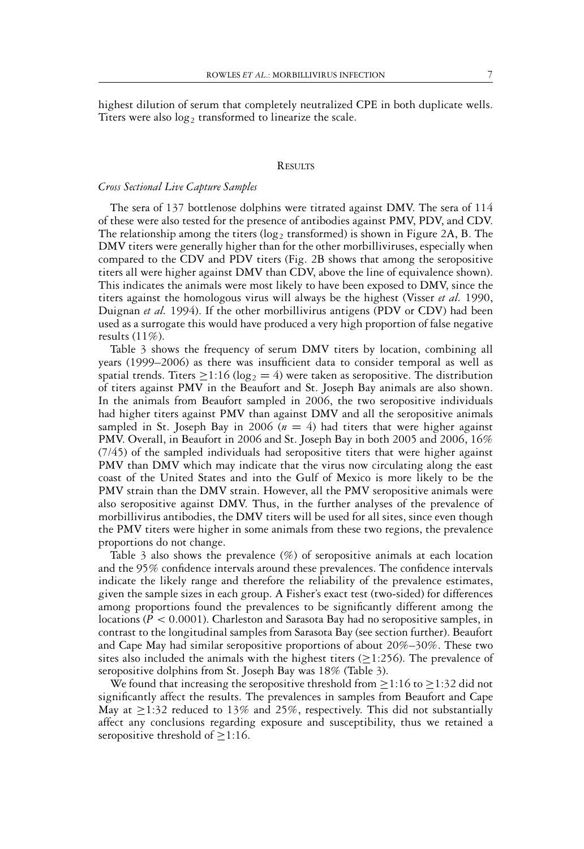highest dilution of serum that completely neutralized CPE in both duplicate wells. Titers were also  $log_2$  transformed to linearize the scale.

#### **RESULTS**

#### *Cross Sectional Live Capture Samples*

The sera of 137 bottlenose dolphins were titrated against DMV. The sera of 114 of these were also tested for the presence of antibodies against PMV, PDV, and CDV. The relationship among the titers ( $log_2$  transformed) is shown in Figure 2A, B. The DMV titers were generally higher than for the other morbilliviruses, especially when compared to the CDV and PDV titers (Fig. 2B shows that among the seropositive titers all were higher against DMV than CDV, above the line of equivalence shown). This indicates the animals were most likely to have been exposed to DMV, since the titers against the homologous virus will always be the highest (Visser *et al.* 1990, Duignan *et al.* 1994). If the other morbillivirus antigens (PDV or CDV) had been used as a surrogate this would have produced a very high proportion of false negative results  $(11\%)$ .

Table 3 shows the frequency of serum DMV titers by location, combining all years (1999–2006) as there was insufficient data to consider temporal as well as spatial trends. Titers  $\geq$ 1:16 (log<sub>2</sub> = 4) were taken as seropositive. The distribution of titers against PMV in the Beaufort and St. Joseph Bay animals are also shown. In the animals from Beaufort sampled in 2006, the two seropositive individuals had higher titers against PMV than against DMV and all the seropositive animals sampled in St. Joseph Bay in 2006 ( $n = 4$ ) had titers that were higher against PMV. Overall, in Beaufort in 2006 and St. Joseph Bay in both 2005 and 2006, 16% (7/45) of the sampled individuals had seropositive titers that were higher against PMV than DMV which may indicate that the virus now circulating along the east coast of the United States and into the Gulf of Mexico is more likely to be the PMV strain than the DMV strain. However, all the PMV seropositive animals were also seropositive against DMV. Thus, in the further analyses of the prevalence of morbillivirus antibodies, the DMV titers will be used for all sites, since even though the PMV titers were higher in some animals from these two regions, the prevalence proportions do not change.

Table 3 also shows the prevalence  $(\%)$  of seropositive animals at each location and the 95% confidence intervals around these prevalences. The confidence intervals indicate the likely range and therefore the reliability of the prevalence estimates, given the sample sizes in each group. A Fisher's exact test (two-sided) for differences among proportions found the prevalences to be significantly different among the locations (*P* < 0.0001). Charleston and Sarasota Bay had no seropositive samples, in contrast to the longitudinal samples from Sarasota Bay (see section further). Beaufort and Cape May had similar seropositive proportions of about 20%–30%. These two sites also included the animals with the highest titers ( $\geq$ 1:256). The prevalence of seropositive dolphins from St. Joseph Bay was 18% (Table 3).

We found that increasing the seropositive threshold from  $\geq$ 1:16 to  $\geq$ 1:32 did not significantly affect the results. The prevalences in samples from Beaufort and Cape May at  $\geq$ 1:32 reduced to 13% and 25%, respectively. This did not substantially affect any conclusions regarding exposure and susceptibility, thus we retained a seropositive threshold of  $\geq$ 1:16.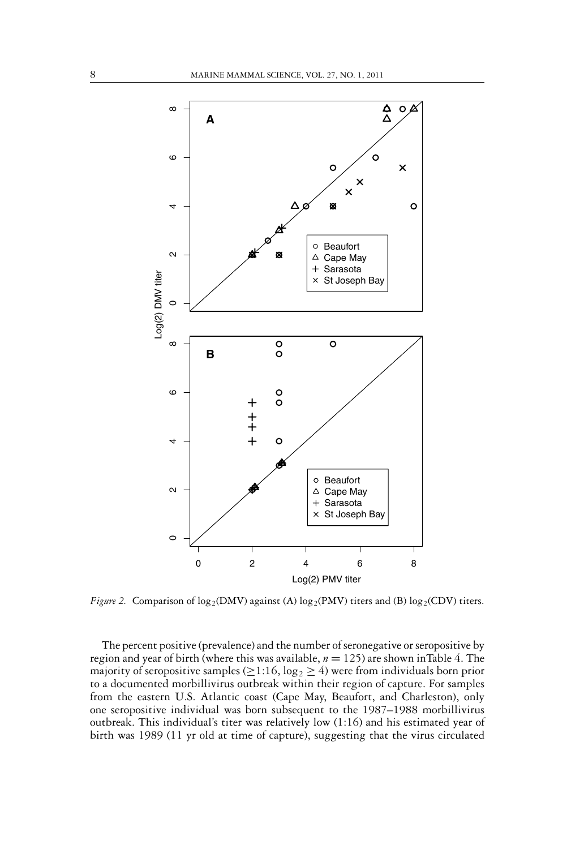

*Figure 2.* Comparison of  $log_2(DMV)$  against (A)  $log_2(PMV)$  titers and (B)  $log_2(CDV)$  titers.

The percent positive (prevalence) and the number of seronegative or seropositive by region and year of birth (where this was available,  $n = 125$ ) are shown inTable 4. The majority of seropositive samples ( $\geq$ 1:16, log<sub>2</sub>  $\geq$  4) were from individuals born prior to a documented morbillivirus outbreak within their region of capture. For samples from the eastern U.S. Atlantic coast (Cape May, Beaufort, and Charleston), only one seropositive individual was born subsequent to the 1987–1988 morbillivirus outbreak. This individual's titer was relatively low (1:16) and his estimated year of birth was 1989 (11 yr old at time of capture), suggesting that the virus circulated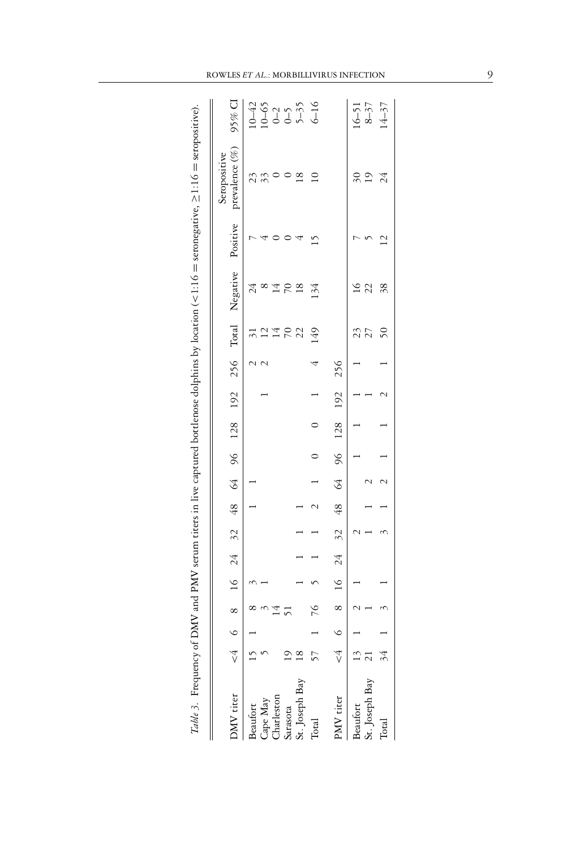| <b>DMV</b> titer                   | 6 < | ∞          | 16     | 24 | $\tilde{\sim}$ | 48 | \$  |               | 96 128 | 192 | 256 | Total                                                                   | Negative             | Positive | prevalence (%)<br>Seropositive |                                                                                       |
|------------------------------------|-----|------------|--------|----|----------------|----|-----|---------------|--------|-----|-----|-------------------------------------------------------------------------|----------------------|----------|--------------------------------|---------------------------------------------------------------------------------------|
| Cape May<br>Charleston<br>leaufort |     | T          |        |    |                |    |     |               |        |     |     |                                                                         | 24<br>$\infty$<br>∑  |          | 23<br>23                       | $\begin{array}{c c}\n5\% & 0 \\ \hline\n10-43 & 0 \\ 10-2 & 0 \\ -1 & 0\n\end{array}$ |
| it. Joseph Bay<br>arasota          |     |            |        |    |                |    |     |               |        |     |     | $\begin{array}{c}\n2 \times 2 \\ 1 \times 2 \\ 2 \times 2\n\end{array}$ | $\frac{8}{18}$<br>50 |          | $^{\circ}$                     |                                                                                       |
| .<br>Total                         |     | 76         |        |    |                |    |     |               |        |     | 4   | 149                                                                     | 134                  | ŗ        | $\overline{10}$                |                                                                                       |
| $\rm ^{o}MV$ titer                 |     | $^{\circ}$ | $\leq$ | 24 | 32             | 48 | \$4 | $\frac{6}{2}$ | 128    | 192 | 256 |                                                                         |                      |          |                                |                                                                                       |
| t. Joseph Bay<br>eaufort           |     |            |        |    |                |    |     |               |        |     |     | 27<br>23                                                                | 22                   |          | 19<br>$\approx$                | $16-51$<br>$8-37$<br>$14-37$                                                          |
| Total                              |     |            |        |    |                |    |     |               |        |     |     | $50\,$                                                                  | 38                   |          | 24                             |                                                                                       |

*Table 3.* Frequency of DMV and PMV serum titers in live captured bottlenose dolphins by location (<1:16 = seronegative, ≥1:16 = seropositive).

Table 3. Frequency of DMV and PMV serum titers in live captured bottlenose dolphins by location (<1:16 = seronegative, >1:16 = seropositive).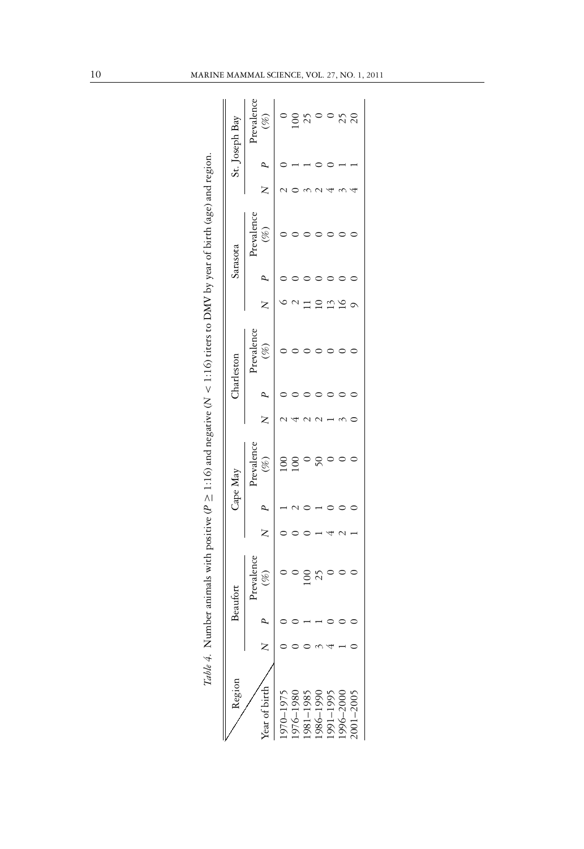| Region                                                        |  | Beaufort                |  | Cape May          |  | Charleston        |  | Sarasota          |  | St. Joseph Bay       |
|---------------------------------------------------------------|--|-------------------------|--|-------------------|--|-------------------|--|-------------------|--|----------------------|
| Year of birth                                                 |  | Prevalence<br>(%)       |  | Prevalence<br>(%) |  | Prevalence<br>(%) |  | Prevalence<br>(%) |  | Prevalence<br>$(\%)$ |
|                                                               |  |                         |  |                   |  |                   |  |                   |  |                      |
| 1970–1975<br>1976–1980<br>1981–1985<br>1986–1990<br>1990–1995 |  |                         |  |                   |  |                   |  |                   |  | g                    |
|                                                               |  | $\overline{\mathrm{0}}$ |  |                   |  |                   |  |                   |  | 25                   |
|                                                               |  |                         |  |                   |  |                   |  |                   |  |                      |
|                                                               |  |                         |  |                   |  |                   |  |                   |  |                      |
|                                                               |  |                         |  |                   |  |                   |  |                   |  | 25                   |
| 2001-2005                                                     |  |                         |  |                   |  |                   |  |                   |  |                      |

Table 4. Number animals with positive ( $P \ge 1:16$ ) and negative ( $N < 1:16$ ) titers to DMV by year of birth (age) and region.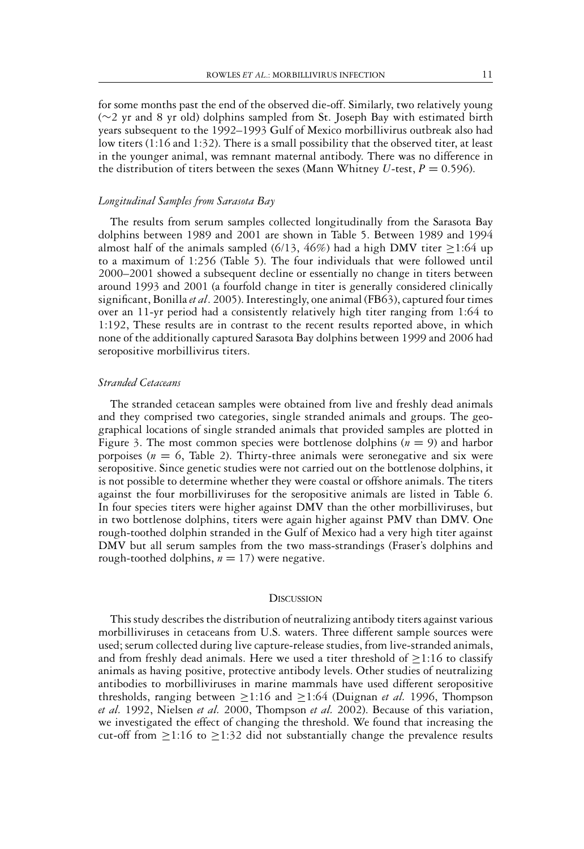for some months past the end of the observed die-off. Similarly, two relatively young (∼2 yr and 8 yr old) dolphins sampled from St. Joseph Bay with estimated birth years subsequent to the 1992–1993 Gulf of Mexico morbillivirus outbreak also had low titers (1:16 and 1:32). There is a small possibility that the observed titer, at least in the younger animal, was remnant maternal antibody. There was no difference in the distribution of titers between the sexes (Mann Whitney *U*-test,  $P = 0.596$ ).

#### *Longitudinal Samples from Sarasota Bay*

The results from serum samples collected longitudinally from the Sarasota Bay dolphins between 1989 and 2001 are shown in Table 5. Between 1989 and 1994 almost half of the animals sampled (6/13, 46%) had a high DMV titer  $\geq$ 1:64 up to a maximum of 1:256 (Table 5). The four individuals that were followed until 2000–2001 showed a subsequent decline or essentially no change in titers between around 1993 and 2001 (a fourfold change in titer is generally considered clinically significant, Bonilla*et al*. 2005). Interestingly, one animal (FB63), captured four times over an 11-yr period had a consistently relatively high titer ranging from 1:64 to 1:192, These results are in contrast to the recent results reported above, in which none of the additionally captured Sarasota Bay dolphins between 1999 and 2006 had seropositive morbillivirus titers.

#### *Stranded Cetaceans*

The stranded cetacean samples were obtained from live and freshly dead animals and they comprised two categories, single stranded animals and groups. The geographical locations of single stranded animals that provided samples are plotted in Figure 3. The most common species were bottlenose dolphins  $(n = 9)$  and harbor porpoises ( $n = 6$ , Table 2). Thirty-three animals were seronegative and six were seropositive. Since genetic studies were not carried out on the bottlenose dolphins, it is not possible to determine whether they were coastal or offshore animals. The titers against the four morbilliviruses for the seropositive animals are listed in Table 6. In four species titers were higher against DMV than the other morbilliviruses, but in two bottlenose dolphins, titers were again higher against PMV than DMV. One rough-toothed dolphin stranded in the Gulf of Mexico had a very high titer against DMV but all serum samples from the two mass-strandings (Fraser's dolphins and rough-toothed dolphins,  $n = 17$ ) were negative.

#### **DISCUSSION**

This study describes the distribution of neutralizing antibody titers against various morbilliviruses in cetaceans from U.S. waters. Three different sample sources were used; serum collected during live capture-release studies, from live-stranded animals, and from freshly dead animals. Here we used a titer threshold of  $\geq$ 1:16 to classify animals as having positive, protective antibody levels. Other studies of neutralizing antibodies to morbilliviruses in marine mammals have used different seropositive thresholds, ranging between  $\geq$ 1:16 and  $\geq$ 1:64 (Duignan *et al.* 1996, Thompson *et al.* 1992, Nielsen *et al.* 2000, Thompson *et al.* 2002). Because of this variation, we investigated the effect of changing the threshold. We found that increasing the cut-off from  $\geq$ 1:16 to  $\geq$ 1:32 did not substantially change the prevalence results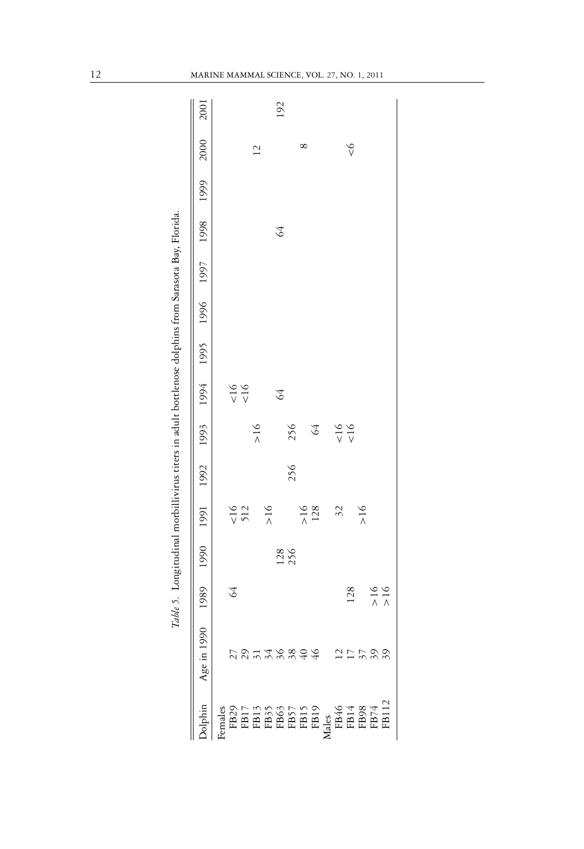|                                                                                                                                                                                                                                                                                                                                                                                                                              |             | Table 5. Longitudinal morbillivirus titers in adult bottlenose dolphins from Sarasota Bay, Florida. |                                                             |                    |     |              |              |  |         |                |      |
|------------------------------------------------------------------------------------------------------------------------------------------------------------------------------------------------------------------------------------------------------------------------------------------------------------------------------------------------------------------------------------------------------------------------------|-------------|-----------------------------------------------------------------------------------------------------|-------------------------------------------------------------|--------------------|-----|--------------|--------------|--|---------|----------------|------|
| lphin                                                                                                                                                                                                                                                                                                                                                                                                                        | Age in 1990 |                                                                                                     | 6661 8661 2661 9661 9661 7661 9661 2661 1661 0661 0661 9861 |                    |     |              |              |  |         | 2000           | 2001 |
|                                                                                                                                                                                                                                                                                                                                                                                                                              |             |                                                                                                     |                                                             |                    |     |              |              |  |         |                |      |
|                                                                                                                                                                                                                                                                                                                                                                                                                              |             | 64                                                                                                  |                                                             |                    |     |              | 16           |  |         |                |      |
|                                                                                                                                                                                                                                                                                                                                                                                                                              |             |                                                                                                     |                                                             | $\times 16$<br>512 |     |              | $rac{16}{5}$ |  |         |                |      |
|                                                                                                                                                                                                                                                                                                                                                                                                                              |             |                                                                                                     |                                                             |                    |     | >16          |              |  |         | $\overline{2}$ |      |
|                                                                                                                                                                                                                                                                                                                                                                                                                              |             |                                                                                                     |                                                             | >16                |     |              |              |  |         |                |      |
|                                                                                                                                                                                                                                                                                                                                                                                                                              | 0146804     |                                                                                                     |                                                             |                    |     |              | $\Im$        |  | $\beta$ |                | 192  |
|                                                                                                                                                                                                                                                                                                                                                                                                                              |             |                                                                                                     | 128<br>256                                                  |                    | 256 | 256          |              |  |         |                |      |
|                                                                                                                                                                                                                                                                                                                                                                                                                              |             |                                                                                                     |                                                             |                    |     |              |              |  |         | ∞              |      |
|                                                                                                                                                                                                                                                                                                                                                                                                                              |             |                                                                                                     |                                                             | $>16$<br>128       |     | $\Im$        |              |  |         |                |      |
|                                                                                                                                                                                                                                                                                                                                                                                                                              |             |                                                                                                     |                                                             |                    |     |              |              |  |         |                |      |
|                                                                                                                                                                                                                                                                                                                                                                                                                              |             |                                                                                                     |                                                             | 32                 |     | $rac{16}{5}$ |              |  |         |                |      |
|                                                                                                                                                                                                                                                                                                                                                                                                                              |             | 128                                                                                                 |                                                             |                    |     | $\leq 16$    |              |  |         | $\frac{6}{5}$  |      |
|                                                                                                                                                                                                                                                                                                                                                                                                                              |             |                                                                                                     |                                                             | >16                |     |              |              |  |         |                |      |
|                                                                                                                                                                                                                                                                                                                                                                                                                              |             |                                                                                                     |                                                             |                    |     |              |              |  |         |                |      |
| $\begin{array}{l} \vspace*{.1cm} \textbf{j} \\\textbf{r} \\\textbf{B29} \\ \textbf{FBL} \\\textbf{r} \\\textbf{r} \\\textbf{r} \\\textbf{r} \\\textbf{r} \\\textbf{r} \\\textbf{r} \\\textbf{r} \\\textbf{r} \\\textbf{r} \\\textbf{r} \\\textbf{r} \\\textbf{r} \\\textbf{r} \\\textbf{r} \\\textbf{r} \\\textbf{r} \\\textbf{r} \\\textbf{r} \\\textbf{r} \\\textbf{r} \\\textbf{r} \\\textbf{r} \\\textbf{r} \\\textbf{r$ |             | $\begin{array}{c}\n50 \\ 0 \\ 0\n\end{array}$                                                       |                                                             |                    |     |              |              |  |         |                |      |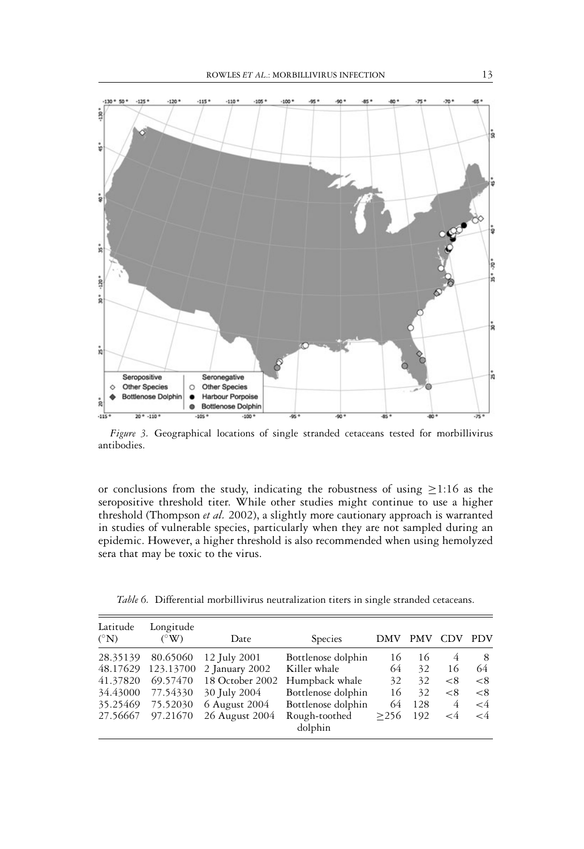

*Figure 3.* Geographical locations of single stranded cetaceans tested for morbillivirus antibodies.

or conclusions from the study, indicating the robustness of using ≥1:16 as the seropositive threshold titer. While other studies might continue to use a higher threshold (Thompson *et al.* 2002), a slightly more cautionary approach is warranted in studies of vulnerable species, particularly when they are not sampled during an epidemic. However, a higher threshold is also recommended when using hemolyzed sera that may be toxic to the virus.

|  |  |  | Table 6. Differential morbillivirus neutralization titers in single stranded cetaceans |  |  |  |  |
|--|--|--|----------------------------------------------------------------------------------------|--|--|--|--|
|--|--|--|----------------------------------------------------------------------------------------|--|--|--|--|

| Latitude<br>$({}^{\circ}{\rm N})$ | Longitude<br>$({}^{\circ}$ W) | Date            | Species                  | DMV  | <b>PMV</b> | <b>CDV</b> | <b>PDV</b> |
|-----------------------------------|-------------------------------|-----------------|--------------------------|------|------------|------------|------------|
| 28.35139                          | 80.65060                      | 12 July 2001    | Bottlenose dolphin       | 16   | 16         | 4          | 8          |
| 48.17629                          | 123.13700                     | 2 January 2002  | Killer whale             | 64   | 32         | 16         | 64         |
| 41.37820                          | 69.57470                      | 18 October 2002 | Humpback whale           | 32   | 32         | < 8        | $\leq 8$   |
| 34.43000                          | 77.54330                      | 30 July 2004    | Bottlenose dolphin       | 16   | 32         | < 8        | $\leq$ 8   |
| 35.25469                          | 75.52030                      | 6 August 2004   | Bottlenose dolphin       | 64   | 128        | 4          | $\leq 4$   |
| 27.56667                          | 97.21670                      | 26 August 2004  | Rough-toothed<br>dolphin | >256 | 192        | $\lt 4$    | $\lt4$     |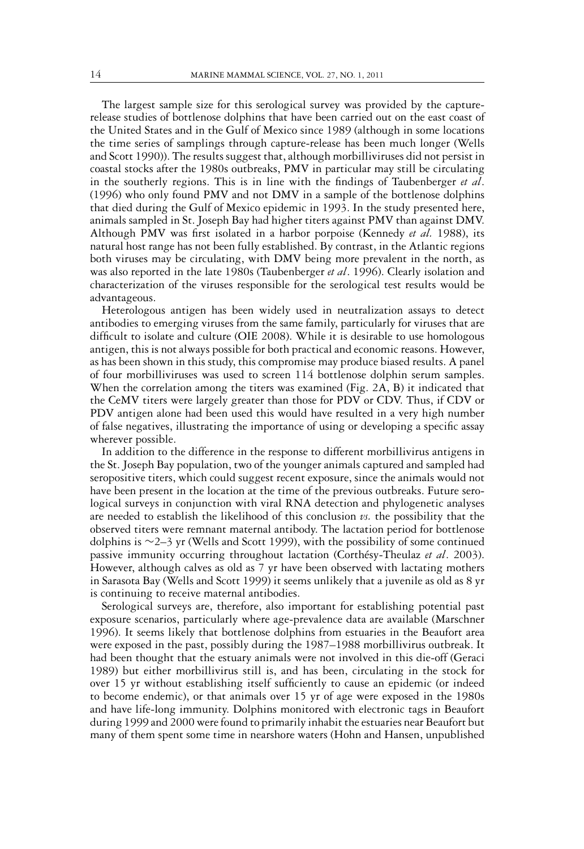The largest sample size for this serological survey was provided by the capturerelease studies of bottlenose dolphins that have been carried out on the east coast of the United States and in the Gulf of Mexico since 1989 (although in some locations the time series of samplings through capture-release has been much longer (Wells and Scott 1990)). The results suggest that, although morbilliviruses did not persist in coastal stocks after the 1980s outbreaks, PMV in particular may still be circulating in the southerly regions. This is in line with the findings of Taubenberger *et al*. (1996) who only found PMV and not DMV in a sample of the bottlenose dolphins that died during the Gulf of Mexico epidemic in 1993. In the study presented here, animals sampled in St. Joseph Bay had higher titers against PMV than against DMV. Although PMV was first isolated in a harbor porpoise (Kennedy *et al.* 1988), its natural host range has not been fully established. By contrast, in the Atlantic regions both viruses may be circulating, with DMV being more prevalent in the north, as was also reported in the late 1980s (Taubenberger *et al*. 1996). Clearly isolation and characterization of the viruses responsible for the serological test results would be advantageous.

Heterologous antigen has been widely used in neutralization assays to detect antibodies to emerging viruses from the same family, particularly for viruses that are difficult to isolate and culture (OIE 2008). While it is desirable to use homologous antigen, this is not always possible for both practical and economic reasons. However, as has been shown in this study, this compromise may produce biased results. A panel of four morbilliviruses was used to screen 114 bottlenose dolphin serum samples. When the correlation among the titers was examined (Fig. 2A, B) it indicated that the CeMV titers were largely greater than those for PDV or CDV. Thus, if CDV or PDV antigen alone had been used this would have resulted in a very high number of false negatives, illustrating the importance of using or developing a specific assay wherever possible.

In addition to the difference in the response to different morbillivirus antigens in the St. Joseph Bay population, two of the younger animals captured and sampled had seropositive titers, which could suggest recent exposure, since the animals would not have been present in the location at the time of the previous outbreaks. Future serological surveys in conjunction with viral RNA detection and phylogenetic analyses are needed to establish the likelihood of this conclusion  $\nu s$ . the possibility that the observed titers were remnant maternal antibody. The lactation period for bottlenose dolphins is ∼2–3 yr (Wells and Scott 1999), with the possibility of some continued passive immunity occurring throughout lactation (Corthésy-Theulaz et al. 2003). However, although calves as old as 7 yr have been observed with lactating mothers in Sarasota Bay (Wells and Scott 1999) it seems unlikely that a juvenile as old as 8 yr is continuing to receive maternal antibodies.

Serological surveys are, therefore, also important for establishing potential past exposure scenarios, particularly where age-prevalence data are available (Marschner 1996). It seems likely that bottlenose dolphins from estuaries in the Beaufort area were exposed in the past, possibly during the 1987–1988 morbillivirus outbreak. It had been thought that the estuary animals were not involved in this die-off (Geraci 1989) but either morbillivirus still is, and has been, circulating in the stock for over 15 yr without establishing itself sufficiently to cause an epidemic (or indeed to become endemic), or that animals over 15 yr of age were exposed in the 1980s and have life-long immunity. Dolphins monitored with electronic tags in Beaufort during 1999 and 2000 were found to primarily inhabit the estuaries near Beaufort but many of them spent some time in nearshore waters (Hohn and Hansen, unpublished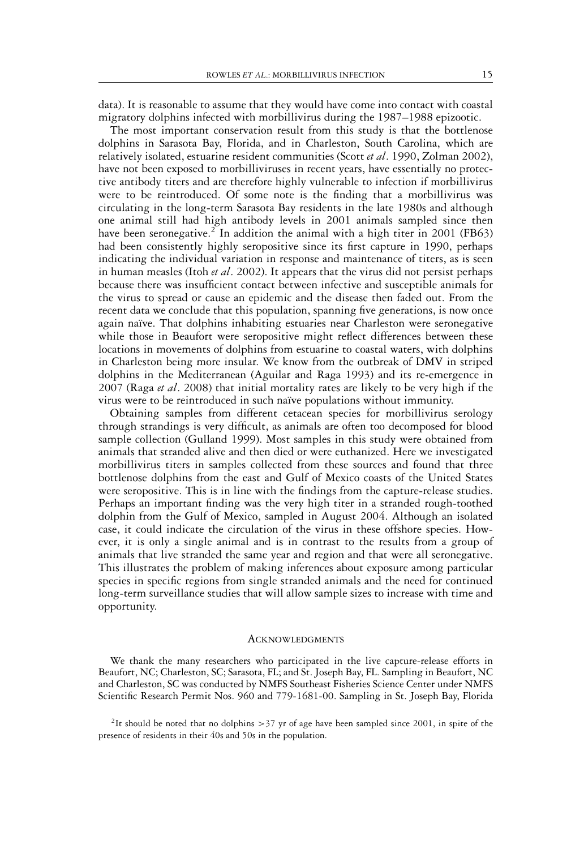data). It is reasonable to assume that they would have come into contact with coastal migratory dolphins infected with morbillivirus during the 1987–1988 epizootic.

The most important conservation result from this study is that the bottlenose dolphins in Sarasota Bay, Florida, and in Charleston, South Carolina, which are relatively isolated, estuarine resident communities (Scott *et al*. 1990, Zolman 2002), have not been exposed to morbilliviruses in recent years, have essentially no protective antibody titers and are therefore highly vulnerable to infection if morbillivirus were to be reintroduced. Of some note is the finding that a morbillivirus was circulating in the long-term Sarasota Bay residents in the late 1980s and although one animal still had high antibody levels in 2001 animals sampled since then have been seronegative.<sup>2</sup> In addition the animal with a high titer in 2001 (FB63) had been consistently highly seropositive since its first capture in 1990, perhaps indicating the individual variation in response and maintenance of titers, as is seen in human measles (Itoh *et al*. 2002). It appears that the virus did not persist perhaps because there was insufficient contact between infective and susceptible animals for the virus to spread or cause an epidemic and the disease then faded out. From the recent data we conclude that this population, spanning five generations, is now once again naïve. That dolphins inhabiting estuaries near Charleston were seronegative while those in Beaufort were seropositive might reflect differences between these locations in movements of dolphins from estuarine to coastal waters, with dolphins in Charleston being more insular. We know from the outbreak of DMV in striped dolphins in the Mediterranean (Aguilar and Raga 1993) and its re-emergence in 2007 (Raga *et al*. 2008) that initial mortality rates are likely to be very high if the virus were to be reintroduced in such naïve populations without immunity.

Obtaining samples from different cetacean species for morbillivirus serology through strandings is very difficult, as animals are often too decomposed for blood sample collection (Gulland 1999). Most samples in this study were obtained from animals that stranded alive and then died or were euthanized. Here we investigated morbillivirus titers in samples collected from these sources and found that three bottlenose dolphins from the east and Gulf of Mexico coasts of the United States were seropositive. This is in line with the findings from the capture-release studies. Perhaps an important finding was the very high titer in a stranded rough-toothed dolphin from the Gulf of Mexico, sampled in August 2004. Although an isolated case, it could indicate the circulation of the virus in these offshore species. However, it is only a single animal and is in contrast to the results from a group of animals that live stranded the same year and region and that were all seronegative. This illustrates the problem of making inferences about exposure among particular species in specific regions from single stranded animals and the need for continued long-term surveillance studies that will allow sample sizes to increase with time and opportunity.

#### **ACKNOWLEDGMENTS**

We thank the many researchers who participated in the live capture-release efforts in Beaufort, NC; Charleston, SC; Sarasota, FL; and St. Joseph Bay, FL. Sampling in Beaufort, NC and Charleston, SC was conducted by NMFS Southeast Fisheries Science Center under NMFS Scientific Research Permit Nos. 960 and 779-1681-00. Sampling in St. Joseph Bay, Florida

<sup>&</sup>lt;sup>2</sup>It should be noted that no dolphins  $>$ 37 yr of age have been sampled since 2001, in spite of the presence of residents in their 40s and 50s in the population.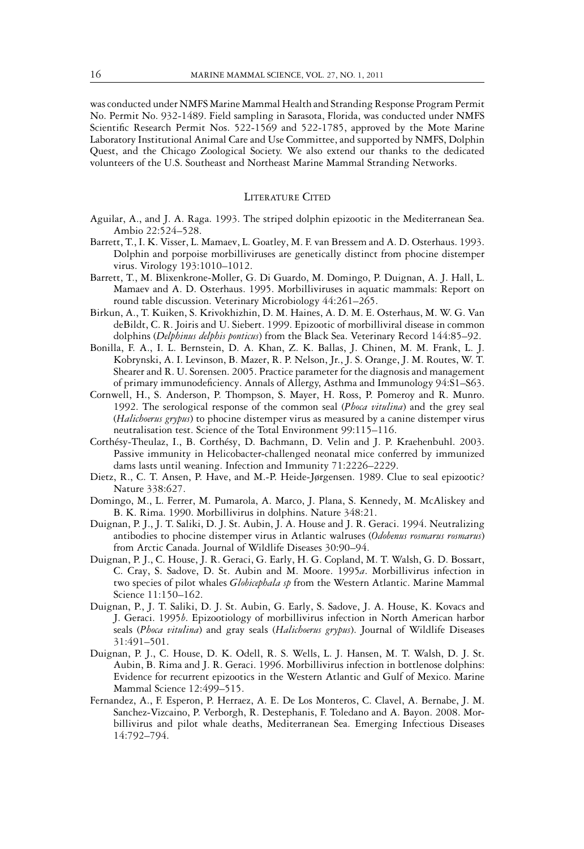was conducted under NMFS Marine Mammal Health and Stranding Response Program Permit No. Permit No. 932-1489. Field sampling in Sarasota, Florida, was conducted under NMFS Scientific Research Permit Nos. 522-1569 and 522-1785, approved by the Mote Marine Laboratory Institutional Animal Care and Use Committee, and supported by NMFS, Dolphin Quest, and the Chicago Zoological Society. We also extend our thanks to the dedicated volunteers of the U.S. Southeast and Northeast Marine Mammal Stranding Networks.

#### LITERATURE CITED

- Aguilar, A., and J. A. Raga. 1993. The striped dolphin epizootic in the Mediterranean Sea. Ambio 22:524–528.
- Barrett, T., I. K. Visser, L. Mamaev, L. Goatley, M. F. van Bressem and A. D. Osterhaus. 1993. Dolphin and porpoise morbilliviruses are genetically distinct from phocine distemper virus. Virology 193:1010–1012.
- Barrett, T., M. Blixenkrone-Moller, G. Di Guardo, M. Domingo, P. Duignan, A. J. Hall, L. Mamaev and A. D. Osterhaus. 1995. Morbilliviruses in aquatic mammals: Report on round table discussion. Veterinary Microbiology 44:261–265.
- Birkun, A., T. Kuiken, S. Krivokhizhin, D. M. Haines, A. D. M. E. Osterhaus, M. W. G. Van deBildt, C. R. Joiris and U. Siebert. 1999. Epizootic of morbilliviral disease in common dolphins (*Delphinus delphis ponticus*) from the Black Sea. Veterinary Record 144:85–92.
- Bonilla, F. A., I. L. Bernstein, D. A. Khan, Z. K. Ballas, J. Chinen, M. M. Frank, L. J. Kobrynski, A. I. Levinson, B. Mazer, R. P. Nelson, Jr., J. S. Orange, J. M. Routes, W. T. Shearer and R. U. Sorensen. 2005. Practice parameter for the diagnosis and management of primary immunodeficiency. Annals of Allergy, Asthma and Immunology 94:S1–S63.
- Cornwell, H., S. Anderson, P. Thompson, S. Mayer, H. Ross, P. Pomeroy and R. Munro. 1992. The serological response of the common seal (*Phoca vitulina*) and the grey seal (*Halichoerus grypus*) to phocine distemper virus as measured by a canine distemper virus neutralisation test. Science of the Total Environment 99:115–116.
- Corthésy-Theulaz, I., B. Corthésy, D. Bachmann, D. Velin and J. P. Kraehenbuhl. 2003. Passive immunity in Helicobacter-challenged neonatal mice conferred by immunized dams lasts until weaning. Infection and Immunity 71:2226–2229.
- Dietz, R., C. T. Ansen, P. Have, and M.-P. Heide-Jørgensen. 1989. Clue to seal epizootic? Nature 338:627.
- Domingo, M., L. Ferrer, M. Pumarola, A. Marco, J. Plana, S. Kennedy, M. McAliskey and B. K. Rima. 1990. Morbillivirus in dolphins. Nature 348:21.
- Duignan, P. J., J. T. Saliki, D. J. St. Aubin, J. A. House and J. R. Geraci. 1994. Neutralizing antibodies to phocine distemper virus in Atlantic walruses (*Odobenus rosmarus rosmarus*) from Arctic Canada. Journal of Wildlife Diseases 30:90–94.
- Duignan, P. J., C. House, J. R. Geraci, G. Early, H. G. Copland, M. T. Walsh, G. D. Bossart, C. Cray, S. Sadove, D. St. Aubin and M. Moore. 1995*a*. Morbillivirus infection in two species of pilot whales *Globicephala sp* from the Western Atlantic. Marine Mammal Science 11:150–162.
- Duignan, P., J. T. Saliki, D. J. St. Aubin, G. Early, S. Sadove, J. A. House, K. Kovacs and J. Geraci. 1995*b*. Epizootiology of morbillivirus infection in North American harbor seals (*Phoca vitulina*) and gray seals (*Halichoerus grypus*). Journal of Wildlife Diseases 31:491–501.
- Duignan, P. J., C. House, D. K. Odell, R. S. Wells, L. J. Hansen, M. T. Walsh, D. J. St. Aubin, B. Rima and J. R. Geraci. 1996. Morbillivirus infection in bottlenose dolphins: Evidence for recurrent epizootics in the Western Atlantic and Gulf of Mexico. Marine Mammal Science 12:499–515.
- Fernandez, A., F. Esperon, P. Herraez, A. E. De Los Monteros, C. Clavel, A. Bernabe, J. M. Sanchez-Vizcaino, P. Verborgh, R. Destephanis, F. Toledano and A. Bayon. 2008. Morbillivirus and pilot whale deaths, Mediterranean Sea. Emerging Infectious Diseases 14:792–794.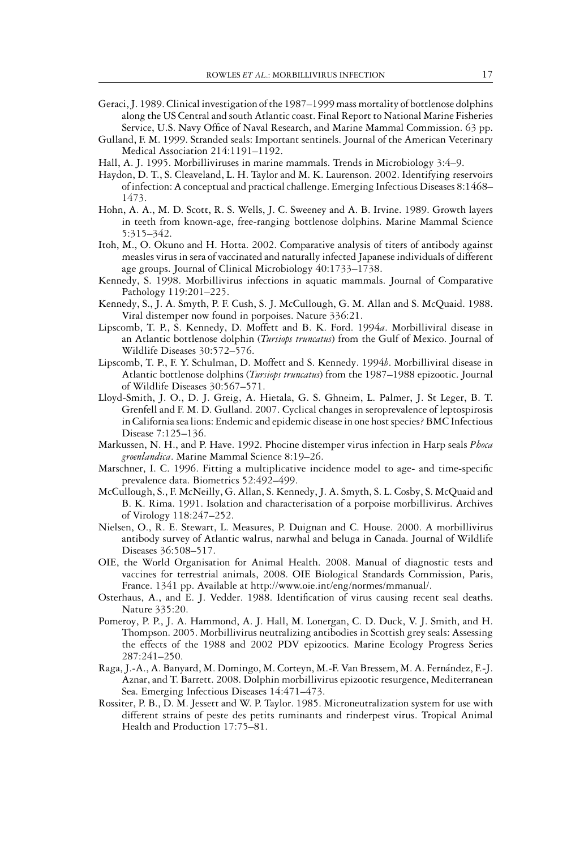- Geraci, J. 1989. Clinical investigation of the 1987–1999 mass mortality of bottlenose dolphins along the US Central and south Atlantic coast. Final Report to National Marine Fisheries Service, U.S. Navy Office of Naval Research, and Marine Mammal Commission. 63 pp.
- Gulland, F. M. 1999. Stranded seals: Important sentinels. Journal of the American Veterinary Medical Association 214:1191–1192.
- Hall, A. J. 1995. Morbilliviruses in marine mammals. Trends in Microbiology 3:4–9.
- Haydon, D. T., S. Cleaveland, L. H. Taylor and M. K. Laurenson. 2002. Identifying reservoirs of infection: A conceptual and practical challenge. Emerging Infectious Diseases 8:1468– 1473.
- Hohn, A. A., M. D. Scott, R. S. Wells, J. C. Sweeney and A. B. Irvine. 1989. Growth layers in teeth from known-age, free-ranging bottlenose dolphins. Marine Mammal Science 5:315–342.
- Itoh, M., O. Okuno and H. Hotta. 2002. Comparative analysis of titers of antibody against measles virus in sera of vaccinated and naturally infected Japanese individuals of different age groups. Journal of Clinical Microbiology 40:1733–1738.
- Kennedy, S. 1998. Morbillivirus infections in aquatic mammals. Journal of Comparative Pathology 119:201–225.
- Kennedy, S., J. A. Smyth, P. F. Cush, S. J. McCullough, G. M. Allan and S. McQuaid. 1988. Viral distemper now found in porpoises. Nature 336:21.
- Lipscomb, T. P., S. Kennedy, D. Moffett and B. K. Ford. 1994*a*. Morbilliviral disease in an Atlantic bottlenose dolphin (*Tursiops truncatus*) from the Gulf of Mexico. Journal of Wildlife Diseases 30:572–576.
- Lipscomb, T. P., F. Y. Schulman, D. Moffett and S. Kennedy. 1994*b*. Morbilliviral disease in Atlantic bottlenose dolphins (*Tursiops truncatus*) from the 1987–1988 epizootic. Journal of Wildlife Diseases 30:567–571.
- Lloyd-Smith, J. O., D. J. Greig, A. Hietala, G. S. Ghneim, L. Palmer, J. St Leger, B. T. Grenfell and F. M. D. Gulland. 2007. Cyclical changes in seroprevalence of leptospirosis in California sea lions: Endemic and epidemic disease in one host species? BMC Infectious Disease 7:125–136.
- Markussen, N. H., and P. Have. 1992. Phocine distemper virus infection in Harp seals *Phoca groenlandica*. Marine Mammal Science 8:19–26.
- Marschner, I. C. 1996. Fitting a multiplicative incidence model to age- and time-specific prevalence data. Biometrics 52:492–499.
- McCullough, S., F. McNeilly, G. Allan, S. Kennedy, J. A. Smyth, S. L. Cosby, S. McQuaid and B. K. Rima. 1991. Isolation and characterisation of a porpoise morbillivirus. Archives of Virology 118:247–252.
- Nielsen, O., R. E. Stewart, L. Measures, P. Duignan and C. House. 2000. A morbillivirus antibody survey of Atlantic walrus, narwhal and beluga in Canada. Journal of Wildlife Diseases 36:508–517.
- OIE, the World Organisation for Animal Health. 2008. Manual of diagnostic tests and vaccines for terrestrial animals, 2008. OIE Biological Standards Commission, Paris, France. 1341 pp. Available at http://www.oie.int/eng/normes/mmanual/.
- Osterhaus, A., and E. J. Vedder. 1988. Identification of virus causing recent seal deaths. Nature 335:20.
- Pomeroy, P. P., J. A. Hammond, A. J. Hall, M. Lonergan, C. D. Duck, V. J. Smith, and H. Thompson. 2005. Morbillivirus neutralizing antibodies in Scottish grey seals: Assessing the effects of the 1988 and 2002 PDV epizootics. Marine Ecology Progress Series 287:241–250.
- Raga, J.-A., A. Banyard, M. Domingo, M. Corteyn, M.-F. Van Bressem, M. A. Fernandez, F.-J. ´ Aznar, and T. Barrett. 2008. Dolphin morbillivirus epizootic resurgence, Mediterranean Sea. Emerging Infectious Diseases 14:471–473.
- Rossiter, P. B., D. M. Jessett and W. P. Taylor. 1985. Microneutralization system for use with different strains of peste des petits ruminants and rinderpest virus. Tropical Animal Health and Production 17:75–81.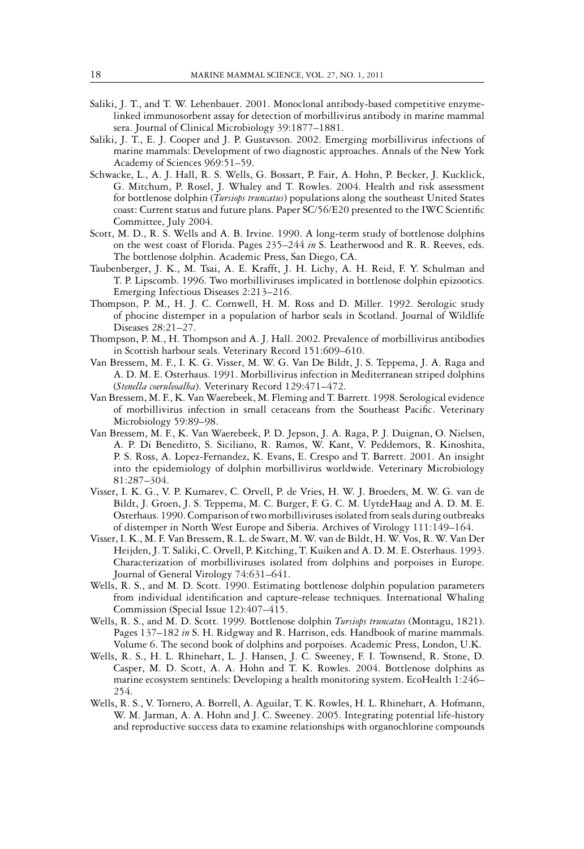- Saliki, J. T., and T. W. Lehenbauer. 2001. Monoclonal antibody-based competitive enzymelinked immunosorbent assay for detection of morbillivirus antibody in marine mammal sera. Journal of Clinical Microbiology 39:1877–1881.
- Saliki, J. T., E. J. Cooper and J. P. Gustavson. 2002. Emerging morbillivirus infections of marine mammals: Development of two diagnostic approaches. Annals of the New York Academy of Sciences 969:51–59.
- Schwacke, L., A. J. Hall, R. S. Wells, G. Bossart, P. Fair, A. Hohn, P. Becker, J. Kucklick, G. Mitchum, P. Rosel, J. Whaley and T. Rowles. 2004. Health and risk assessment for bottlenose dolphin (*Tursiops truncatus*) populations along the southeast United States coast: Current status and future plans. Paper SC/56/E20 presented to the IWC Scientific Committee, July 2004.
- Scott, M. D., R. S. Wells and A. B. Irvine. 1990. A long-term study of bottlenose dolphins on the west coast of Florida. Pages 235–244 *in* S. Leatherwood and R. R. Reeves, eds. The bottlenose dolphin. Academic Press, San Diego, CA.
- Taubenberger, J. K., M. Tsai, A. E. Krafft, J. H. Lichy, A. H. Reid, F. Y. Schulman and T. P. Lipscomb. 1996. Two morbilliviruses implicated in bottlenose dolphin epizootics. Emerging Infectious Diseases 2:213–216.
- Thompson, P. M., H. J. C. Cornwell, H. M. Ross and D. Miller. 1992. Serologic study of phocine distemper in a population of harbor seals in Scotland. Journal of Wildlife Diseases 28:21–27.
- Thompson, P. M., H. Thompson and A. J. Hall. 2002. Prevalence of morbillivirus antibodies in Scottish harbour seals. Veterinary Record 151:609–610.
- Van Bressem, M. F., I. K. G. Visser, M. W. G. Van De Bildt, J. S. Teppema, J. A. Raga and A. D. M. E. Osterhaus. 1991. Morbillivirus infection in Mediterranean striped dolphins (*Stenella coeruleoalba*). Veterinary Record 129:471–472.
- Van Bressem, M. F., K. Van Waerebeek, M. Fleming and T. Barrett. 1998. Serological evidence of morbillivirus infection in small cetaceans from the Southeast Pacific. Veterinary Microbiology 59:89–98.
- Van Bressem, M. F., K. Van Waerebeek, P. D. Jepson, J. A. Raga, P. J. Duignan, O. Nielsen, A. P. Di Beneditto, S. Siciliano, R. Ramos, W. Kant, V. Peddemors, R. Kinoshita, P. S. Ross, A. Lopez-Fernandez, K. Evans, E. Crespo and T. Barrett. 2001. An insight into the epidemiology of dolphin morbillivirus worldwide. Veterinary Microbiology 81:287–304.
- Visser, I. K. G., V. P. Kumarev, C. Orvell, P. de Vries, H. W. J. Broeders, M. W. G. van de Bildt, J. Groen, J. S. Teppema, M. C. Burger, F. G. C. M. UytdeHaag and A. D. M. E. Osterhaus. 1990. Comparison of two morbilliviruses isolated from seals during outbreaks of distemper in North West Europe and Siberia. Archives of Virology 111:149–164.
- Visser, I. K., M. F. Van Bressem, R. L. de Swart, M. W. van de Bildt, H. W. Vos, R. W. Van Der Heijden, J. T. Saliki, C. Orvell, P. Kitching, T. Kuiken and A. D. M. E. Osterhaus. 1993. Characterization of morbilliviruses isolated from dolphins and porpoises in Europe. Journal of General Virology 74:631–641.
- Wells, R. S., and M. D. Scott. 1990. Estimating bottlenose dolphin population parameters from individual identification and capture-release techniques. International Whaling Commission (Special Issue 12):407–415.
- Wells, R. S., and M. D. Scott. 1999. Bottlenose dolphin *Tursiops truncatus* (Montagu, 1821). Pages 137–182 *in* S. H. Ridgway and R. Harrison, eds. Handbook of marine mammals. Volume 6. The second book of dolphins and porpoises. Academic Press, London, U.K.
- Wells, R. S., H. L. Rhinehart, L. J. Hansen, J. C. Sweeney, F. I. Townsend, R. Stone, D. Casper, M. D. Scott, A. A. Hohn and T. K. Rowles. 2004. Bottlenose dolphins as marine ecosystem sentinels: Developing a health monitoring system. EcoHealth 1:246– 254.
- Wells, R. S., V. Tornero, A. Borrell, A. Aguilar, T. K. Rowles, H. L. Rhinehart, A. Hofmann, W. M. Jarman, A. A. Hohn and J. C. Sweeney. 2005. Integrating potential life-history and reproductive success data to examine relationships with organochlorine compounds